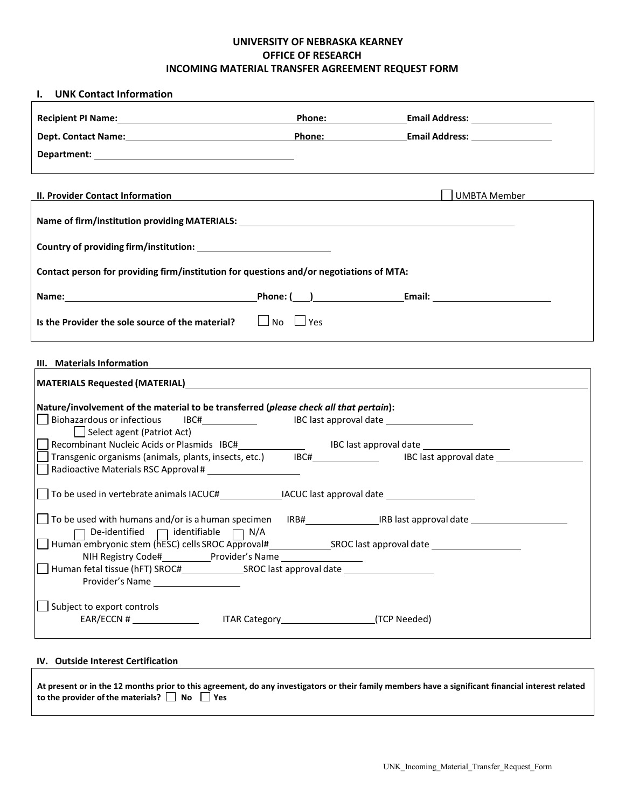## **UNIVERSITY OF NEBRASKA KEARNEY OFFICE OF RESEARCH INCOMING MATERIAL TRANSFER AGREEMENT REQUEST FORM**

| <b>UNK Contact Information</b><br>L.                                                                                                                                                                                                                         |  |                                                                                                                                             |  |  |  |  |
|--------------------------------------------------------------------------------------------------------------------------------------------------------------------------------------------------------------------------------------------------------------|--|---------------------------------------------------------------------------------------------------------------------------------------------|--|--|--|--|
|                                                                                                                                                                                                                                                              |  | Phone: Email Address: 2008                                                                                                                  |  |  |  |  |
| Dept. Contact Name: 1990 120 2010 120 2010 120 2010 120 2010 120 2010 120 2010 120 2010 120 2010 120 2010 120 2010 120 2010 120 2010 120 2010 120 2010 120 2010 120 2010 120 2010 120 2010 120 2010 120 2010 120 2010 120 2010                               |  |                                                                                                                                             |  |  |  |  |
|                                                                                                                                                                                                                                                              |  |                                                                                                                                             |  |  |  |  |
|                                                                                                                                                                                                                                                              |  |                                                                                                                                             |  |  |  |  |
| II. Provider Contact Information                                                                                                                                                                                                                             |  | <b>UMBTA Member</b><br><u> 1980 - Johann Barn, mars ann an t-Amhain Aonaich an t-Aonaich an t-Aonaich ann an t-Aonaich ann an t-Aonaich</u> |  |  |  |  |
| Name of firm/institution providing MATERIALS: __________________________________                                                                                                                                                                             |  |                                                                                                                                             |  |  |  |  |
|                                                                                                                                                                                                                                                              |  |                                                                                                                                             |  |  |  |  |
| Contact person for providing firm/institution for questions and/or negotiations of MTA:                                                                                                                                                                      |  |                                                                                                                                             |  |  |  |  |
|                                                                                                                                                                                                                                                              |  |                                                                                                                                             |  |  |  |  |
| Is the Provider the sole source of the material? $\Box$ No $\Box$ Yes                                                                                                                                                                                        |  |                                                                                                                                             |  |  |  |  |
| III. Materials Information                                                                                                                                                                                                                                   |  |                                                                                                                                             |  |  |  |  |
|                                                                                                                                                                                                                                                              |  |                                                                                                                                             |  |  |  |  |
|                                                                                                                                                                                                                                                              |  |                                                                                                                                             |  |  |  |  |
| Nature/involvement of the material to be transferred (please check all that pertain):                                                                                                                                                                        |  |                                                                                                                                             |  |  |  |  |
| Biohazardous or infectious IBC#   IBC last approval date   Let not a subset of the subset of the subset of the subset of the subset of the subset of the subset of the subset of the subset of the subset of the subset of the<br>Select agent (Patriot Act) |  |                                                                                                                                             |  |  |  |  |
| $\Box$ Recombinant Nucleic Acids or Plasmids $\Box$ IBC# $\Box$ IBC last approval date $\Box$                                                                                                                                                                |  |                                                                                                                                             |  |  |  |  |
| Transgenic organisms (animals, plants, insects, etc.) BCH_______________________ IBC last approval date _______________________________<br>Radioactive Materials RSC Approval #                                                                              |  |                                                                                                                                             |  |  |  |  |
|                                                                                                                                                                                                                                                              |  |                                                                                                                                             |  |  |  |  |
|                                                                                                                                                                                                                                                              |  |                                                                                                                                             |  |  |  |  |
| $\Box$ To be used with humans and/or is a human specimen                                                                                                                                                                                                     |  | IRB#___________________IRB last approval date __________________________________                                                            |  |  |  |  |
| $\Box$ De-identified $\Box$ identifiable $\Box$ N/A<br>Human embryonic stem (hESC) cells SROC Approval#                                                                                                                                                      |  | SROC last approval date                                                                                                                     |  |  |  |  |
| NIH Registry Code#____________Provider's Name __________________________________                                                                                                                                                                             |  |                                                                                                                                             |  |  |  |  |
|                                                                                                                                                                                                                                                              |  |                                                                                                                                             |  |  |  |  |
| Provider's Name                                                                                                                                                                                                                                              |  |                                                                                                                                             |  |  |  |  |
| Subject to export controls                                                                                                                                                                                                                                   |  |                                                                                                                                             |  |  |  |  |
| EAR/ECCN #                                                                                                                                                                                                                                                   |  | ITAR Category (TCP Needed)                                                                                                                  |  |  |  |  |
|                                                                                                                                                                                                                                                              |  |                                                                                                                                             |  |  |  |  |

#### **IV. Outside Interest Certification**

| At present or in the 12 months prior to this agreement, do any investigators or their family members have a significant financial interest related |
|----------------------------------------------------------------------------------------------------------------------------------------------------|
| to the provider of the materials? $\Box$ No $\Box$ Yes                                                                                             |